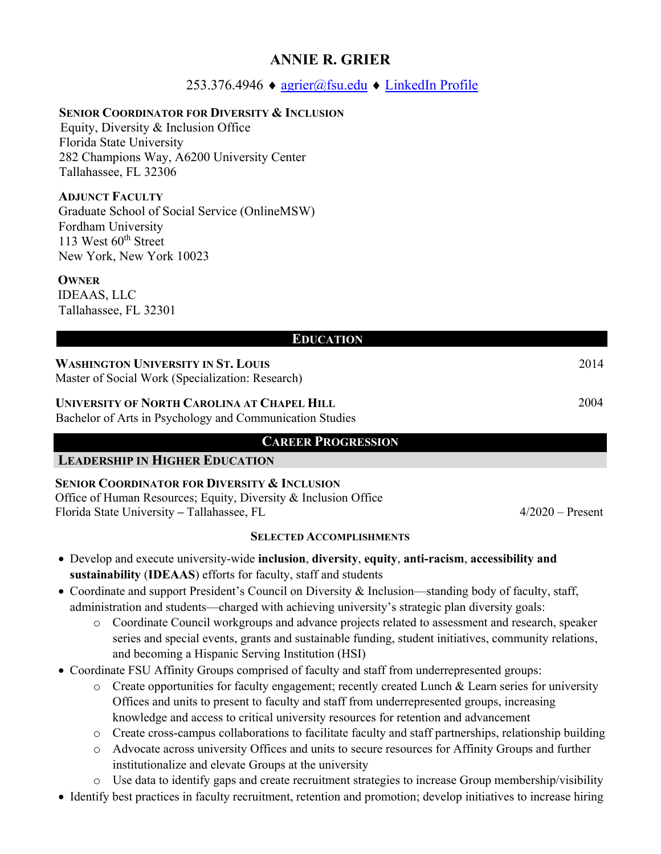# **ANNIE R. GRIER**

## 253.376.4946 ♦ [agrier@fsu.edu](mailto:agrier@fsu.edu) ♦ [LinkedIn Profile](https://www.linkedin.com/in/antoinette-annie-grier-8106238a/)

### **SENIOR COORDINATOR FOR DIVERSITY & INCLUSION**

Equity, Diversity & Inclusion Office Florida State University 282 Champions Way, A6200 University Center Tallahassee, FL 32306

## **ADJUNCT FACULTY**

Graduate School of Social Service (OnlineMSW) Fordham University 113 West 60<sup>th</sup> Street New York, New York 10023

### **OWNER**

IDEAAS, LLC Tallahassee, FL 32301

| <b>EDUCATION</b>                                                                                        |      |  |
|---------------------------------------------------------------------------------------------------------|------|--|
| <b>WASHINGTON UNIVERSITY IN ST. LOUIS</b><br>Master of Social Work (Specialization: Research)           | 2014 |  |
| UNIVERSITY OF NORTH CAROLINA AT CHAPEL HILL<br>Bachelor of Arts in Psychology and Communication Studies | 2004 |  |

## **CAREER PROGRESSION**

### **LEADERSHIP IN HIGHER EDUCATION**

## **SENIOR COORDINATOR FOR DIVERSITY & INCLUSION**

Office of Human Resources; Equity, Diversity & Inclusion Office Florida State University **–** Tallahassee, FL4/2020 – Present

### **SELECTED ACCOMPLISHMENTS**

- Develop and execute university-wide **inclusion**, **diversity**, **equity**, **anti-racism**, **accessibility and sustainability** (**IDEAAS**) efforts for faculty, staff and students
- Coordinate and support President's Council on Diversity & Inclusion—standing body of faculty, staff, administration and students—charged with achieving university's strategic plan diversity goals:
	- o Coordinate Council workgroups and advance projects related to assessment and research, speaker series and special events, grants and sustainable funding, student initiatives, community relations, and becoming a Hispanic Serving Institution (HSI)
- Coordinate FSU Affinity Groups comprised of faculty and staff from underrepresented groups:
	- o Create opportunities for faculty engagement; recently created Lunch & Learn series for university Offices and units to present to faculty and staff from underrepresented groups, increasing knowledge and access to critical university resources for retention and advancement
	- o Create cross-campus collaborations to facilitate faculty and staff partnerships, relationship building
	- o Advocate across university Offices and units to secure resources for Affinity Groups and further institutionalize and elevate Groups at the university
	- o Use data to identify gaps and create recruitment strategies to increase Group membership/visibility
- Identify best practices in faculty recruitment, retention and promotion; develop initiatives to increase hiring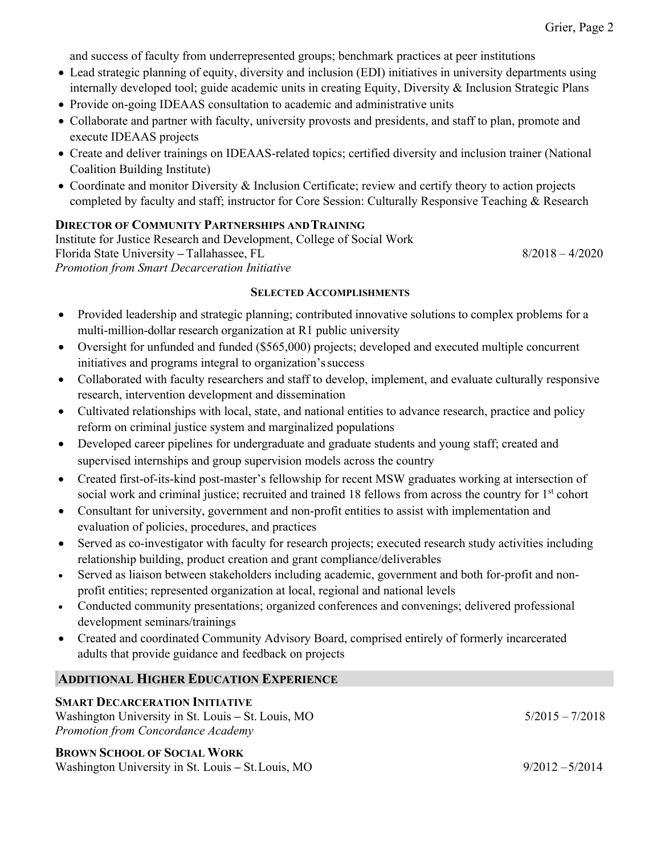and success of faculty from underrepresented groups; benchmark practices at peer institutions

- Lead strategic planning of equity, diversity and inclusion (EDI) initiatives in university departments using internally developed tool; guide academic units in creating Equity, Diversity & Inclusion Strategic Plans
- Provide on-going IDEAAS consultation to academic and administrative units
- Collaborate and partner with faculty, university provosts and presidents, and staff to plan, promote and execute IDEAAS projects
- Create and deliver trainings on IDEAAS-related topics; certified diversity and inclusion trainer (National Coalition Building Institute)
- Coordinate and monitor Diversity & Inclusion Certificate; review and certify theory to action projects completed by faculty and staff; instructor for Core Session: Culturally Responsive Teaching & Research

### **DIRECTOR OF COMMUNITY PARTNERSHIPS ANDTRAINING**

Institute for Justice Research and Development, College of Social Work Florida State University **–** Tallahassee, FL8/2018 – 4/2020 *Promotion from Smart Decarceration Initiative*

#### **SELECTED ACCOMPLISHMENTS**

- Provided leadership and strategic planning; contributed innovative solutions to complex problems for a multi-million-dollar research organization at R1 public university
- Oversight for unfunded and funded (\$565,000) projects; developed and executed multiple concurrent initiatives and programs integral to organization'ssuccess
- Collaborated with faculty researchers and staff to develop, implement, and evaluate culturally responsive research, intervention development and dissemination
- Cultivated relationships with local, state, and national entities to advance research, practice and policy reform on criminal justice system and marginalized populations
- Developed career pipelines for undergraduate and graduate students and young staff; created and supervised internships and group supervision models across the country
- Created first-of-its-kind post-master's fellowship for recent MSW graduates working at intersection of social work and criminal justice; recruited and trained 18 fellows from across the country for 1<sup>st</sup> cohort
- Consultant for university, government and non-profit entities to assist with implementation and evaluation of policies, procedures, and practices
- Served as co-investigator with faculty for research projects; executed research study activities including relationship building, product creation and grant compliance/deliverables
- Served as liaison between stakeholders including academic, government and both for-profit and nonprofit entities; represented organization at local, regional and national levels
- Conducted community presentations; organized conferences and convenings; delivered professional development seminars/trainings
- Created and coordinated Community Advisory Board, comprised entirely of formerly incarcerated adults that provide guidance and feedback on projects

### **ADDITIONAL HIGHER EDUCATION EXPERIENCE**

#### **SMART DECARCERATION INITIATIVE**

Washington University in St. Louis – St. Louis, MO  $5/2015 - 7/2018$ *Promotion from Concordance Academy*

# **BROWN SCHOOL OF SOCIAL WORK**

Washington University in St. Louis **–** St.Louis, MO9/2012 –5/2014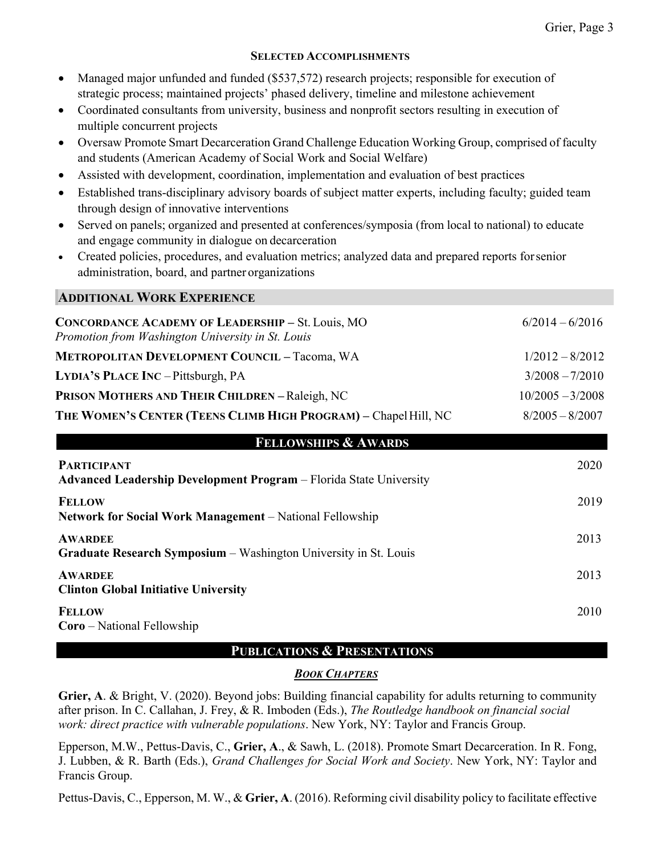#### **SELECTED ACCOMPLISHMENTS**

- Managed major unfunded and funded (\$537,572) research projects; responsible for execution of strategic process; maintained projects' phased delivery, timeline and milestone achievement
- Coordinated consultants from university, business and nonprofit sectors resulting in execution of multiple concurrent projects
- Oversaw Promote Smart Decarceration Grand Challenge Education Working Group, comprised of faculty and students (American Academy of Social Work and Social Welfare)
- Assisted with development, coordination, implementation and evaluation of best practices
- Established trans-disciplinary advisory boards of subject matter experts, including faculty; guided team through design of innovative interventions
- Served on panels; organized and presented at conferences/symposia (from local to national) to educate and engage community in dialogue on decarceration
- Created policies, procedures, and evaluation metrics; analyzed data and prepared reports forsenior administration, board, and partner organizations

### **ADDITIONAL WORK EXPERIENCE**

| <b>CONCORDANCE ACADEMY OF LEADERSHIP - St. Louis, MO</b><br>Promotion from Washington University in St. Louis | $6/2014 - 6/2016$  |
|---------------------------------------------------------------------------------------------------------------|--------------------|
| <b>METROPOLITAN DEVELOPMENT COUNCIL - Tacoma, WA</b>                                                          | $1/2012 - 8/2012$  |
| LYDIA'S PLACE INC - Pittsburgh, PA                                                                            | $3/2008 - 7/2010$  |
| <b>PRISON MOTHERS AND THEIR CHILDREN - Raleigh, NC</b>                                                        | $10/2005 - 3/2008$ |
| THE WOMEN'S CENTER (TEENS CLIMB HIGH PROGRAM) - Chapel Hill, NC                                               | $8/2005 - 8/2007$  |
| <b>FELLOWSHIPS &amp; AWARDS</b>                                                                               |                    |
| <b>PARTICIPANT</b><br><b>Advanced Leadership Development Program</b> – Florida State University               | 2020               |
| <b>FELLOW</b><br><b>Network for Social Work Management</b> – National Fellowship                              | 2019               |
| <b>AWARDEE</b><br>Graduate Research Symposium - Washington University in St. Louis                            | 2013               |
| <b>AWARDEE</b><br><b>Clinton Global Initiative University</b>                                                 | 2013               |
| <b>FELLOW</b><br><b>Coro</b> – National Fellowship                                                            | 2010               |

### **PUBLICATIONS & PRESENTATIONS**

### *BOOK CHAPTERS*

**Grier, A**. & Bright, V. (2020). Beyond jobs: Building financial capability for adults returning to community after prison. In C. Callahan, J. Frey, & R. Imboden (Eds.), *The Routledge handbook on financial social work: direct practice with vulnerable populations*. New York, NY: Taylor and Francis Group.

Epperson, M.W., Pettus-Davis, C., **Grier, A**., & Sawh, L. (2018). Promote Smart Decarceration. In R. Fong, J. Lubben, & R. Barth (Eds.), *Grand Challenges for Social Work and Society*. New York, NY: Taylor and Francis Group.

Pettus-Davis, C., Epperson, M. W., & **Grier, A**. (2016). Reforming civil disability policy to facilitate effective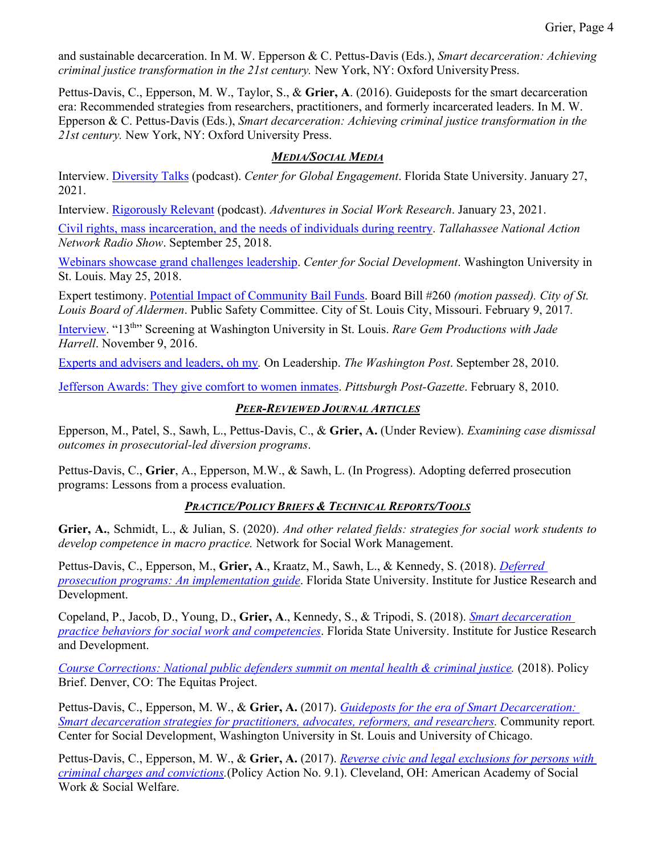and sustainable decarceration. In M. W. Epperson & C. Pettus-Davis (Eds.), *Smart decarceration: Achieving criminal justice transformation in the 21st century.* New York, NY: Oxford University Press.

Pettus-Davis, C., Epperson, M. W., Taylor, S., & **Grier, A**. (2016). Guideposts for the smart decarceration era: Recommended strategies from researchers, practitioners, and formerly incarcerated leaders. In M. W. Epperson & C. Pettus-Davis (Eds.), *Smart decarceration: Achieving criminal justice transformation in the 21st century.* New York, NY: Oxford University Press.

## *MEDIA/SOCIAL MEDIA*

Interview. [Diversity Talks](https://cge.fsu.edu/diversitytalks) (podcast). *Center for Global Engagement*. Florida State University. January 27, 2021.

Interview. [Rigorously Relevant](https://aiswr-swresearch.org/rigorously-relevant/) (podcast). *Adventures in Social Work Research*. January 23, 2021.

[Civil rights, mass incarceration, and the needs of individuals during reentry.](https://ijrd.csw.fsu.edu/sites/g/files/upcbnu1766/files/media/files/dr_Keith_Parker.wav) *Tallahassee National Action Network Radio Show*. September 25, 2018.

[Webinars showcase grand challenges leadership.](https://csd.wustl.edu/webinars-showcase-grand-challenges-leadership/) *Center for Social Development*. Washington University in St. Louis. May 25, 2018.

Expert testimony. [Potential Impact of Community Bail Funds.](https://youtu.be/T2lT_hzJrzk) Board Bill #260 *(motion passed). City of St. Louis Board of Aldermen*. Public Safety Committee. City of St. Louis City, Missouri. February 9, 2017*.*

[Interview.](https://www.facebook.com/jade.harrell/videos/10207410163842201) "13th" Screening at Washington University in St. Louis. *Rare Gem Productions with Jade Harrell*. November 9, 2016.

[Experts and advisers and leaders, oh my](http://views.washingtonpost.com/leadership/panelists/2010/09/experts-and-advisers-and-leaders-oh-my.html)*.* On Leadership. *The Washington Post*. September 28, 2010.

[Jefferson Awards: They give comfort to women inmates.](https://www.post-gazette.com/life/lifestyle/2010/02/08/Jefferson-Awards-They-give-comfort-to-women-inmates/stories/201002080193) *Pittsburgh Post-Gazette*. February 8, 2010.

## *PEER-REVIEWED JOURNAL ARTICLES*

Epperson, M., Patel, S., Sawh, L., Pettus-Davis, C., & **Grier, A.** (Under Review). *Examining case dismissal outcomes in prosecutorial-led diversion programs*.

Pettus-Davis, C., **Grier**, A., Epperson, M.W., & Sawh, L. (In Progress). Adopting deferred prosecution programs: Lessons from a process evaluation.

## *PRACTICE/POLICY BRIEFS & TECHNICAL REPORTS/TOOLS*

**Grier, A.**, Schmidt, L., & Julian, S. (2020). *And other related fields: strategies for social work students to develop competence in macro practice.* Network for Social Work Management.

Pettus-Davis, C., Epperson, M., **Grier, A**., Kraatz, M., Sawh, L., & Kennedy, S. (2018). *[Deferred](https://ijrd.csw.fsu.edu/sites/g/files/upcbnu1766/files/media/images/publication_pdfs/deferred_prosecution_programs_implementation_guide.pdf)  [prosecution programs: An implementation guide](https://ijrd.csw.fsu.edu/sites/g/files/upcbnu1766/files/media/images/publication_pdfs/deferred_prosecution_programs_implementation_guide.pdf)*. Florida State University. Institute for Justice Research and Development.

Copeland, P., Jacob, D., Young, D., **Grier, A**., Kennedy, S., & Tripodi, S. (2018). *[Smart decarceration](https://ijrd.csw.fsu.edu/sites/g/files/upcbnu1766/files/media/images/publication_pdfs/Smart_Decarceration_Practice_Behaviors_for_Social_WorkCompetencies.pdf)  [practice behaviors for social work and competencies](https://ijrd.csw.fsu.edu/sites/g/files/upcbnu1766/files/media/images/publication_pdfs/Smart_Decarceration_Practice_Behaviors_for_Social_WorkCompetencies.pdf)*. Florida State University. Institute for Justice Research and Development.

*[Course Corrections: National public defenders summit on mental health & criminal justice.](https://www.equitasproject.org/wp-content/uploads/2018/05/Public-Defenders-Course-Corrections-FINAL.pdf)* (2018). Policy Brief. Denver, CO: The Equitas Project.

Pettus-Davis, C., Epperson, M. W., & **Grier, A.** (2017). *[Guideposts for the era of Smart Decarceration:](https://ijrd.csw.fsu.edu/sites/g/files/upcbnu1766/files/Publications/Guideposts_SmartDecarceration.pdf)  [Smart decarceration strategies for practitioners, advocates, reformers, and researchers.](https://ijrd.csw.fsu.edu/sites/g/files/upcbnu1766/files/Publications/Guideposts_SmartDecarceration.pdf)* Community report*.*  Center for Social Development, Washington University in St. Louis and University of Chicago.

Pettus-Davis, C., Epperson, M. W., & **Grier, A.** (2017). *[Reverse civic and legal exclusions for persons with](https://ijrd.csw.fsu.edu/sites/g/files/upcbnu1766/files/media/images/publication_pdfs/ReverseCivicandLegalExclusions_0.pdf)  [criminal charges and convictions.](https://ijrd.csw.fsu.edu/sites/g/files/upcbnu1766/files/media/images/publication_pdfs/ReverseCivicandLegalExclusions_0.pdf)*(Policy Action No. 9.1). Cleveland, OH: American Academy of Social Work & Social Welfare.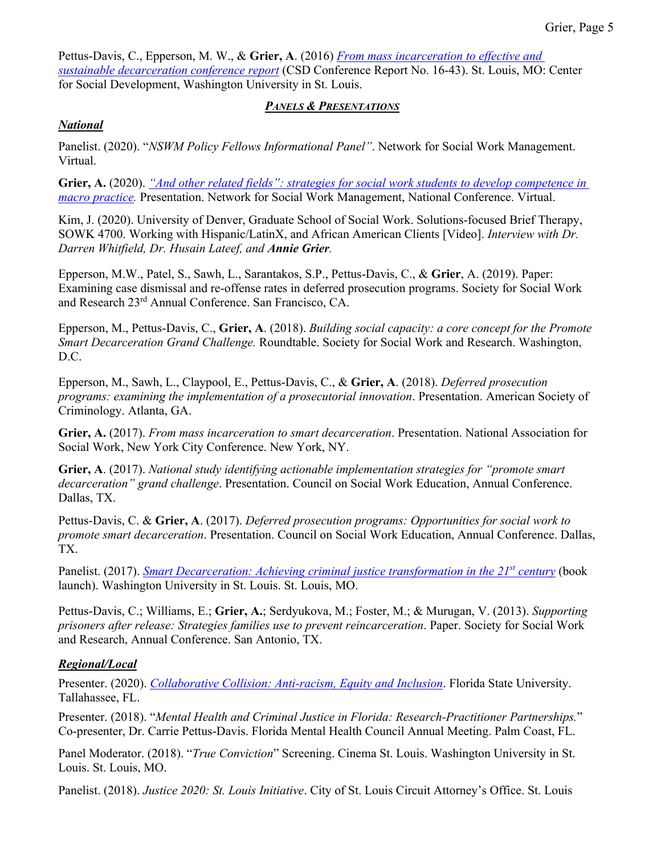Pettus-Davis, C., Epperson, M. W., & **Grier, A**. (2016) *[From mass incarceration to effective and](https://openscholarship.wustl.edu/cgi/viewcontent.cgi?article=1570&context=csd_research)  [sustainable decarceration conference report](https://openscholarship.wustl.edu/cgi/viewcontent.cgi?article=1570&context=csd_research)* (CSD Conference Report No. 16-43). St. Louis, MO: Center for Social Development, Washington University in St. Louis.

### *PANELS & PRESENTATIONS*

## *National*

Panelist. (2020). "*NSWM Policy Fellows Informational Panel"*. Network for Social Work Management. Virtual.

**Grier, A.** (2020). *["And other related fields": strategies for social work students to develop competence in](https://www.dropbox.com/s/c8202v4nmm5j94u/Video%20-%206-5-20%20Policy%20Fellows%202020%20Virtual%20Poster%20Presentations.mp4?dl=0)  [macro practice.](https://www.dropbox.com/s/c8202v4nmm5j94u/Video%20-%206-5-20%20Policy%20Fellows%202020%20Virtual%20Poster%20Presentations.mp4?dl=0)* Presentation. Network for Social Work Management, National Conference. Virtual.

Kim, J. (2020). University of Denver, Graduate School of Social Work. Solutions-focused Brief Therapy, SOWK 4700. Working with Hispanic/LatinX, and African American Clients [Video]. *Interview with Dr. Darren Whitfield, Dr. Husain Lateef, and Annie Grier.* 

Epperson, M.W., Patel, S., Sawh, L., Sarantakos, S.P., Pettus-Davis, C., & **Grier**, A. (2019). Paper: Examining case dismissal and re-offense rates in deferred prosecution programs. Society for Social Work and Research 23rd Annual Conference. San Francisco, CA.

Epperson, M., Pettus-Davis, C., **Grier, A**. (2018). *Building social capacity: a core concept for the Promote Smart Decarceration Grand Challenge.* Roundtable. Society for Social Work and Research. Washington, D.C.

Epperson, M., Sawh, L., Claypool, E., Pettus-Davis, C., & **Grier, A**. (2018). *Deferred prosecution programs: examining the implementation of a prosecutorial innovation*. Presentation. American Society of Criminology. Atlanta, GA.

**Grier, A.** (2017). *From mass incarceration to smart decarceration*. Presentation. National Association for Social Work, New York City Conference. New York, NY.

**Grier, A**. (2017). *National study identifying actionable implementation strategies for "promote smart decarceration" grand challenge*. Presentation. Council on Social Work Education, Annual Conference. Dallas, TX.

Pettus-Davis, C. & **Grier, A**. (2017). *Deferred prosecution programs: Opportunities for social work to promote smart decarceration*. Presentation. Council on Social Work Education, Annual Conference. Dallas, TX.

Panelist. (2017). *[Smart Decarceration: Achieving criminal justice transformation in the 21](https://lecturecapture.wustl.edu/mediasite/Play/c9d5676732b241c3b9d6447308c4ffdb1d)st century* (book launch). Washington University in St. Louis. St. Louis, MO.

Pettus-Davis, C.; Williams, E.; **Grier, A.**; Serdyukova, M.; Foster, M.; & Murugan, V. (2013). *Supporting prisoners after release: Strategies families use to prevent reincarceration*. Paper. Society for Social Work and Research, Annual Conference. San Antonio, TX.

## *Regional/Local*

Presenter. (2020). *[Collaborative Collision: Anti-racism, Equity](https://www.research.fsu.edu/research-offices/ord/collaborative-collision/past-collaborative-collision-events/cc-anti-racism-equity-and-inclusion/) and Inclusion*. Florida State University. Tallahassee, FL.

Presenter. (2018). "*Mental Health and Criminal Justice in Florida: Research-Practitioner Partnerships.*" Co-presenter, Dr. Carrie Pettus-Davis. Florida Mental Health Council Annual Meeting. Palm Coast, FL.

Panel Moderator. (2018). "*True Conviction*" Screening. Cinema St. Louis. Washington University in St. Louis. St. Louis, MO.

Panelist. (2018). *Justice 2020: St. Louis Initiative*. City of St. Louis Circuit Attorney's Office. St. Louis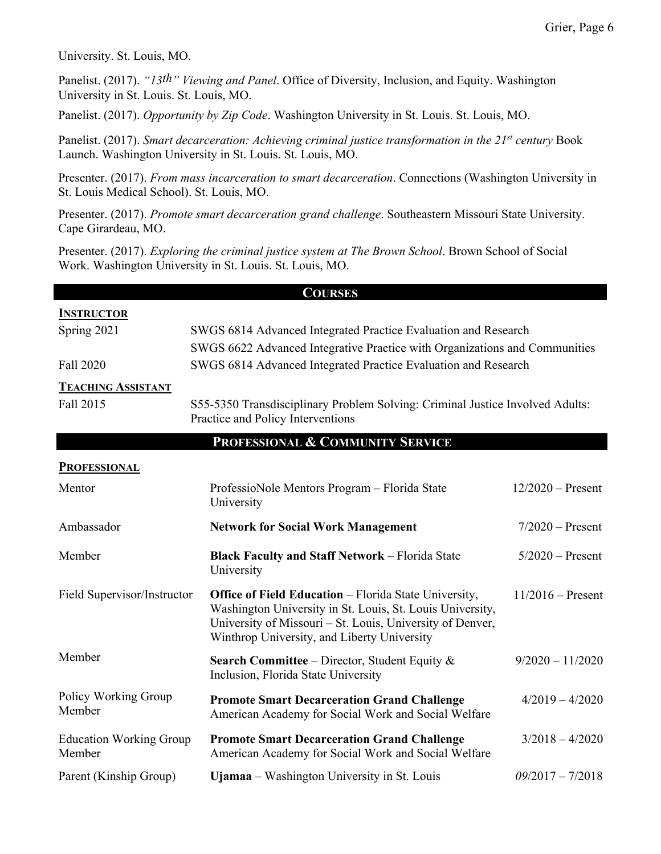University. St. Louis, MO.

Panelist. (2017). *"13th" Viewing and Panel*. Office of Diversity, Inclusion, and Equity. Washington University in St. Louis. St. Louis, MO.

Panelist. (2017). *Opportunity by Zip Code*. Washington University in St. Louis. St. Louis, MO.

Panelist. (2017). *Smart decarceration: Achieving criminal justice transformation in the 21st century* Book Launch. Washington University in St. Louis. St. Louis, MO.

Presenter. (2017). *From mass incarceration to smart decarceration*. Connections (Washington University in St. Louis Medical School). St. Louis, MO.

Presenter. (2017). *Promote smart decarceration grand challenge*. Southeastern Missouri State University. Cape Girardeau, MO.

Presenter. (2017). *Exploring the criminal justice system at The Brown School*. Brown School of Social Work. Washington University in St. Louis. St. Louis, MO.

| <b>COURSES</b>                           |                                                                                                                                                                                                                                       |                     |  |  |
|------------------------------------------|---------------------------------------------------------------------------------------------------------------------------------------------------------------------------------------------------------------------------------------|---------------------|--|--|
| <b>INSTRUCTOR</b>                        |                                                                                                                                                                                                                                       |                     |  |  |
| Spring 2021                              | SWGS 6814 Advanced Integrated Practice Evaluation and Research                                                                                                                                                                        |                     |  |  |
|                                          | SWGS 6622 Advanced Integrative Practice with Organizations and Communities                                                                                                                                                            |                     |  |  |
| Fall 2020                                | SWGS 6814 Advanced Integrated Practice Evaluation and Research                                                                                                                                                                        |                     |  |  |
| <b>TEACHING ASSISTANT</b>                |                                                                                                                                                                                                                                       |                     |  |  |
| Fall 2015                                | S55-5350 Transdisciplinary Problem Solving: Criminal Justice Involved Adults:<br>Practice and Policy Interventions                                                                                                                    |                     |  |  |
|                                          | PROFESSIONAL & COMMUNITY SERVICE                                                                                                                                                                                                      |                     |  |  |
| <b>PROFESSIONAL</b>                      |                                                                                                                                                                                                                                       |                     |  |  |
| Mentor                                   | ProfessioNole Mentors Program - Florida State<br>University                                                                                                                                                                           | $12/2020$ – Present |  |  |
| Ambassador                               | <b>Network for Social Work Management</b>                                                                                                                                                                                             | $7/2020$ – Present  |  |  |
| Member                                   | <b>Black Faculty and Staff Network - Florida State</b><br>University                                                                                                                                                                  | $5/2020$ – Present  |  |  |
| Field Supervisor/Instructor              | <b>Office of Field Education - Florida State University,</b><br>Washington University in St. Louis, St. Louis University,<br>University of Missouri - St. Louis, University of Denver,<br>Winthrop University, and Liberty University | $11/2016$ – Present |  |  |
| Member                                   | <b>Search Committee</b> – Director, Student Equity $\&$<br>Inclusion, Florida State University                                                                                                                                        | $9/2020 - 11/2020$  |  |  |
| Policy Working Group<br>Member           | <b>Promote Smart Decarceration Grand Challenge</b><br>American Academy for Social Work and Social Welfare                                                                                                                             | $4/2019 - 4/2020$   |  |  |
| <b>Education Working Group</b><br>Member | <b>Promote Smart Decarceration Grand Challenge</b><br>American Academy for Social Work and Social Welfare                                                                                                                             | $3/2018 - 4/2020$   |  |  |
| Parent (Kinship Group)                   | Ujamaa – Washington University in St. Louis                                                                                                                                                                                           | $09/2017 - 7/2018$  |  |  |